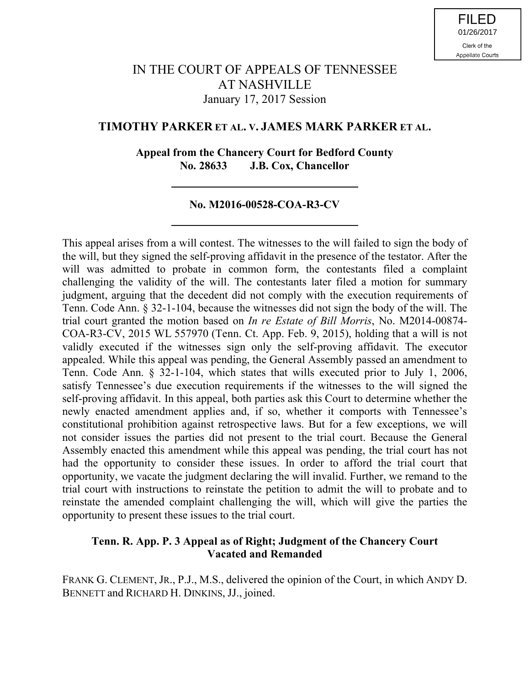# IN THE COURT OF APPEALS OF TENNESSEE AT NASHVILLE January 17, 2017 Session

### **TIMOTHY PARKER ET AL. V. JAMES MARK PARKER ET AL.**

### **Appeal from the Chancery Court for Bedford County No. 28633 J.B. Cox, Chancellor**

### **No. M2016-00528-COA-R3-CV**

This appeal arises from a will contest. The witnesses to the will failed to sign the body of the will, but they signed the self-proving affidavit in the presence of the testator. After the will was admitted to probate in common form, the contestants filed a complaint challenging the validity of the will. The contestants later filed a motion for summary judgment, arguing that the decedent did not comply with the execution requirements of Tenn. Code Ann. § 32-1-104, because the witnesses did not sign the body of the will. The trial court granted the motion based on *In re Estate of Bill Morris*, No. M2014-00874- COA-R3-CV, 2015 WL 557970 (Tenn. Ct. App. Feb. 9, 2015), holding that a will is not validly executed if the witnesses sign only the self-proving affidavit. The executor appealed. While this appeal was pending, the General Assembly passed an amendment to Tenn. Code Ann. § 32-1-104, which states that wills executed prior to July 1, 2006, satisfy Tennessee's due execution requirements if the witnesses to the will signed the self-proving affidavit. In this appeal, both parties ask this Court to determine whether the newly enacted amendment applies and, if so, whether it comports with Tennessee's constitutional prohibition against retrospective laws. But for a few exceptions, we will not consider issues the parties did not present to the trial court. Because the General Assembly enacted this amendment while this appeal was pending, the trial court has not had the opportunity to consider these issues. In order to afford the trial court that opportunity, we vacate the judgment declaring the will invalid. Further, we remand to the trial court with instructions to reinstate the petition to admit the will to probate and to reinstate the amended complaint challenging the will, which will give the parties the opportunity to present these issues to the trial court.

### **Tenn. R. App. P. 3 Appeal as of Right; Judgment of the Chancery Court Vacated and Remanded**

FRANK G. CLEMENT, JR., P.J., M.S., delivered the opinion of the Court, in which ANDY D. BENNETT and RICHARD H. DINKINS, JJ., joined.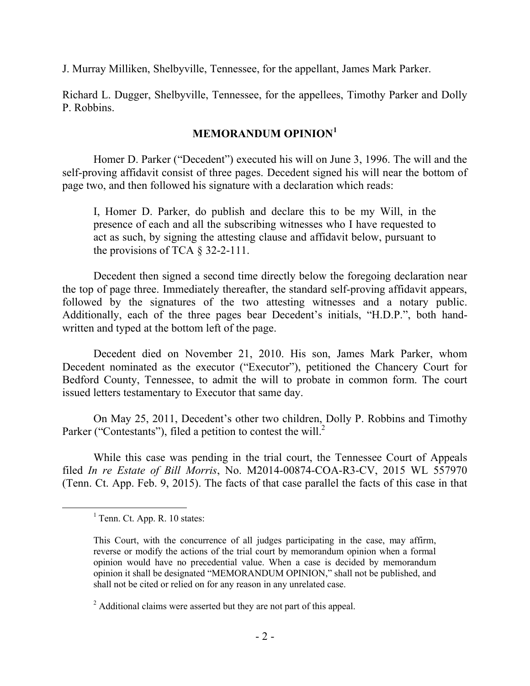J. Murray Milliken, Shelbyville, Tennessee, for the appellant, James Mark Parker.

Richard L. Dugger, Shelbyville, Tennessee, for the appellees, Timothy Parker and Dolly P. Robbins.

## **MEMORANDUM OPINION<sup>1</sup>**

Homer D. Parker ("Decedent") executed his will on June 3, 1996. The will and the self-proving affidavit consist of three pages. Decedent signed his will near the bottom of page two, and then followed his signature with a declaration which reads:

I, Homer D. Parker, do publish and declare this to be my Will, in the presence of each and all the subscribing witnesses who I have requested to act as such, by signing the attesting clause and affidavit below, pursuant to the provisions of TCA  $\S$  32-2-111.

Decedent then signed a second time directly below the foregoing declaration near the top of page three. Immediately thereafter, the standard self-proving affidavit appears, followed by the signatures of the two attesting witnesses and a notary public. Additionally, each of the three pages bear Decedent's initials, "H.D.P.", both handwritten and typed at the bottom left of the page.

Decedent died on November 21, 2010. His son, James Mark Parker, whom Decedent nominated as the executor ("Executor"), petitioned the Chancery Court for Bedford County, Tennessee, to admit the will to probate in common form. The court issued letters testamentary to Executor that same day.

On May 25, 2011, Decedent's other two children, Dolly P. Robbins and Timothy Parker ("Contestants"), filed a petition to contest the will.<sup>2</sup>

While this case was pending in the trial court, the Tennessee Court of Appeals filed *In re Estate of Bill Morris*, No. M2014-00874-COA-R3-CV, 2015 WL 557970 (Tenn. Ct. App. Feb. 9, 2015). The facts of that case parallel the facts of this case in that

 $\overline{a}$ 

 $<sup>1</sup>$  Tenn. Ct. App. R. 10 states:</sup>

This Court, with the concurrence of all judges participating in the case, may affirm, reverse or modify the actions of the trial court by memorandum opinion when a formal opinion would have no precedential value. When a case is decided by memorandum opinion it shall be designated "MEMORANDUM OPINION," shall not be published, and shall not be cited or relied on for any reason in any unrelated case.

<sup>&</sup>lt;sup>2</sup> Additional claims were asserted but they are not part of this appeal.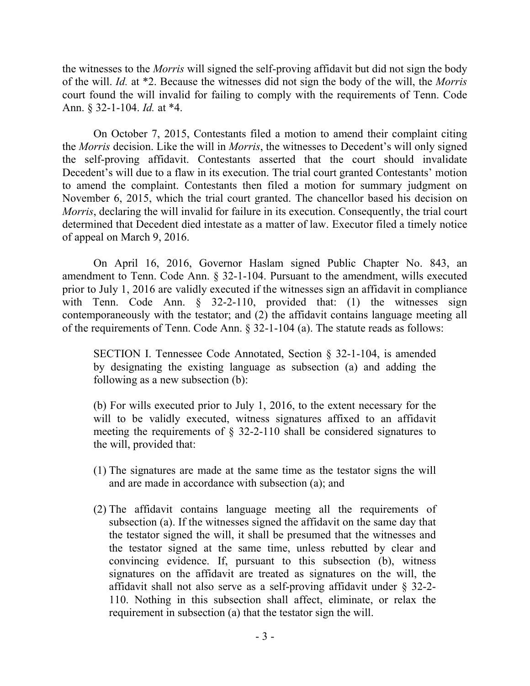the witnesses to the *Morris* will signed the self-proving affidavit but did not sign the body of the will. *Id.* at \*2. Because the witnesses did not sign the body of the will, the *Morris* court found the will invalid for failing to comply with the requirements of Tenn. Code Ann. § 32-1-104. *Id.* at \*4.

On October 7, 2015, Contestants filed a motion to amend their complaint citing the *Morris* decision. Like the will in *Morris*, the witnesses to Decedent's will only signed the self-proving affidavit. Contestants asserted that the court should invalidate Decedent's will due to a flaw in its execution. The trial court granted Contestants' motion to amend the complaint. Contestants then filed a motion for summary judgment on November 6, 2015, which the trial court granted. The chancellor based his decision on *Morris*, declaring the will invalid for failure in its execution. Consequently, the trial court determined that Decedent died intestate as a matter of law. Executor filed a timely notice of appeal on March 9, 2016.

On April 16, 2016, Governor Haslam signed Public Chapter No. 843, an amendment to Tenn. Code Ann. § 32-1-104. Pursuant to the amendment, wills executed prior to July 1, 2016 are validly executed if the witnesses sign an affidavit in compliance with Tenn. Code Ann. § 32-2-110, provided that: (1) the witnesses sign contemporaneously with the testator; and (2) the affidavit contains language meeting all of the requirements of Tenn. Code Ann. § 32-1-104 (a). The statute reads as follows:

SECTION I. Tennessee Code Annotated, Section § 32-1-104, is amended by designating the existing language as subsection (a) and adding the following as a new subsection (b):

(b) For wills executed prior to July 1, 2016, to the extent necessary for the will to be validly executed, witness signatures affixed to an affidavit meeting the requirements of § 32-2-110 shall be considered signatures to the will, provided that:

- (1) The signatures are made at the same time as the testator signs the will and are made in accordance with subsection (a); and
- (2) The affidavit contains language meeting all the requirements of subsection (a). If the witnesses signed the affidavit on the same day that the testator signed the will, it shall be presumed that the witnesses and the testator signed at the same time, unless rebutted by clear and convincing evidence. If, pursuant to this subsection (b), witness signatures on the affidavit are treated as signatures on the will, the affidavit shall not also serve as a self-proving affidavit under § 32-2- 110. Nothing in this subsection shall affect, eliminate, or relax the requirement in subsection (a) that the testator sign the will.